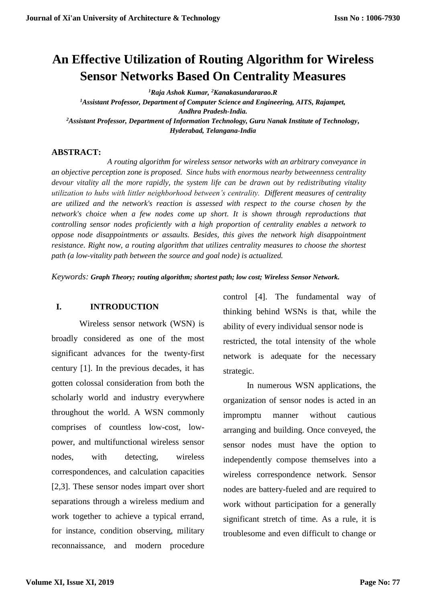# **An Effective Utilization of Routing Algorithm for Wireless Sensor Networks Based On Centrality Measures**

*<sup>1</sup>Raja Ashok Kumar, <sup>2</sup>Kanakasundararao.R <sup>1</sup>Assistant Professor, Department of Computer Science and Engineering, AITS, Rajampet, Andhra Pradesh-India. <sup>2</sup>Assistant Professor, Department of Information Technology, Guru Nanak Institute of Technology, Hyderabad, Telangana-India*

#### **ABSTRACT:**

 *A routing algorithm for wireless sensor networks with an arbitrary conveyance in an objective perception zone is proposed. Since hubs with enormous nearby betweenness centrality devour vitality all the more rapidly, the system life can be drawn out by redistributing vitality utilization to hubs with littler neighborhood between's centrality. Different measures of centrality are utilized and the network's reaction is assessed with respect to the course chosen by the network's choice when a few nodes come up short. It is shown through reproductions that controlling sensor nodes proficiently with a high proportion of centrality enables a network to oppose node disappointments or assaults. Besides, this gives the network high disappointment resistance. Right now, a routing algorithm that utilizes centrality measures to choose the shortest path (a low-vitality path between the source and goal node) is actualized.*

*Keywords: Graph Theory; routing algorithm; shortest path; low cost; Wireless Sensor Network.*

#### **I. INTRODUCTION**

 Wireless sensor network (WSN) is broadly considered as one of the most significant advances for the twenty-first century [1]. In the previous decades, it has gotten colossal consideration from both the scholarly world and industry everywhere throughout the world. A WSN commonly comprises of countless low-cost, lowpower, and multifunctional wireless sensor nodes, with detecting, wireless correspondences, and calculation capacities [2,3]. These sensor nodes impart over short separations through a wireless medium and work together to achieve a typical errand, for instance, condition observing, military reconnaissance, and modern procedure

control [4]. The fundamental way of thinking behind WSNs is that, while the ability of every individual sensor node is restricted, the total intensity of the whole network is adequate for the necessary strategic.

 In numerous WSN applications, the organization of sensor nodes is acted in an impromptu manner without cautious arranging and building. Once conveyed, the sensor nodes must have the option to independently compose themselves into a wireless correspondence network. Sensor nodes are battery-fueled and are required to work without participation for a generally significant stretch of time. As a rule, it is troublesome and even difficult to change or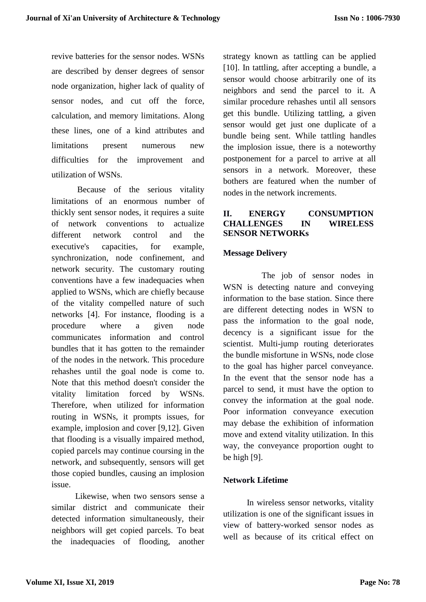revive batteries for the sensor nodes. WSNs are described by denser degrees of sensor node organization, higher lack of quality of sensor nodes, and cut off the force, calculation, and memory limitations. Along these lines, one of a kind attributes and limitations present numerous new difficulties for the improvement and utilization of WSNs.

 Because of the serious vitality limitations of an enormous number of thickly sent sensor nodes, it requires a suite of network conventions to actualize different network control and the executive's capacities, for example, synchronization, node confinement, and network security. The customary routing conventions have a few inadequacies when applied to WSNs, which are chiefly because of the vitality compelled nature of such networks [4]. For instance, flooding is a procedure where a given node communicates information and control bundles that it has gotten to the remainder of the nodes in the network. This procedure rehashes until the goal node is come to. Note that this method doesn't consider the vitality limitation forced by WSNs. Therefore, when utilized for information routing in WSNs, it prompts issues, for example, implosion and cover [9,12]. Given that flooding is a visually impaired method, copied parcels may continue coursing in the network, and subsequently, sensors will get those copied bundles, causing an implosion issue.

 Likewise, when two sensors sense a similar district and communicate their detected information simultaneously, their neighbors will get copied parcels. To beat the inadequacies of flooding, another strategy known as tattling can be applied [10]. In tattling, after accepting a bundle, a sensor would choose arbitrarily one of its neighbors and send the parcel to it. A similar procedure rehashes until all sensors get this bundle. Utilizing tattling, a given sensor would get just one duplicate of a bundle being sent. While tattling handles the implosion issue, there is a noteworthy postponement for a parcel to arrive at all sensors in a network. Moreover, these bothers are featured when the number of nodes in the network increments.

# **II. ENERGY CONSUMPTION CHALLENGES IN WIRELESS SENSOR NETWORKs**

#### **Message Delivery**

 The job of sensor nodes in WSN is detecting nature and conveying information to the base station. Since there are different detecting nodes in WSN to pass the information to the goal node, decency is a significant issue for the scientist. Multi-jump routing deteriorates the bundle misfortune in WSNs, node close to the goal has higher parcel conveyance. In the event that the sensor node has a parcel to send, it must have the option to convey the information at the goal node. Poor information conveyance execution may debase the exhibition of information move and extend vitality utilization. In this way, the conveyance proportion ought to be high [9].

#### **Network Lifetime**

 In wireless sensor networks, vitality utilization is one of the significant issues in view of battery-worked sensor nodes as well as because of its critical effect on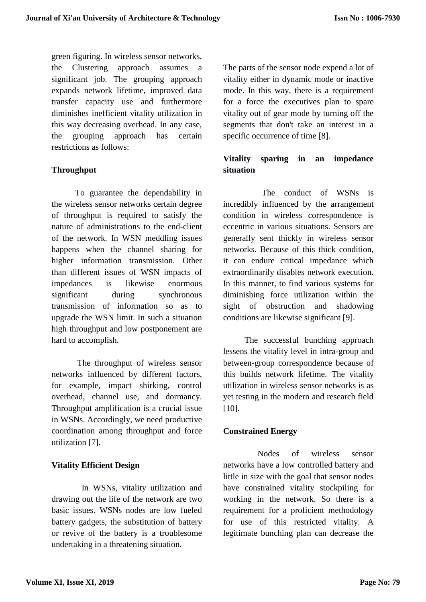green figuring. In wireless sensor networks, the Clustering approach assumes a significant job. The grouping approach expands network lifetime, improved data transfer capacity use and furthermore diminishes inefficient vitality utilization in this way decreasing overhead. In any case, the grouping approach has certain restrictions as follows:

# **Throughput**

 To guarantee the dependability in the wireless sensor networks certain degree of throughput is required to satisfy the nature of administrations to the end-client of the network. In WSN meddling issues happens when the channel sharing for higher information transmission. Other than different issues of WSN impacts of impedances is likewise enormous significant during synchronous transmission of information so as to upgrade the WSN limit. In such a situation high throughput and low postponement are hard to accomplish.

 The throughput of wireless sensor networks influenced by different factors, for example, impact shirking, control overhead, channel use, and dormancy. Throughput amplification is a crucial issue in WSNs. Accordingly, we need productive coordination among throughput and force utilization [7].

# **Vitality Efficient Design**

 In WSNs, vitality utilization and drawing out the life of the network are two basic issues. WSNs nodes are low fueled battery gadgets, the substitution of battery or revive of the battery is a troublesome undertaking in a threatening situation.

The parts of the sensor node expend a lot of vitality either in dynamic mode or inactive mode. In this way, there is a requirement for a force the executives plan to spare vitality out of gear mode by turning off the segments that don't take an interest in a specific occurrence of time [8].

# **Vitality sparing in an impedance situation**

 The conduct of WSNs is incredibly influenced by the arrangement condition in wireless correspondence is eccentric in various situations. Sensors are generally sent thickly in wireless sensor networks. Because of this thick condition, it can endure critical impedance which extraordinarily disables network execution. In this manner, to find various systems for diminishing force utilization within the sight of obstruction and shadowing conditions are likewise significant [9].

 The successful bunching approach lessens the vitality level in intra-group and between-group correspondence because of this builds network lifetime. The vitality utilization in wireless sensor networks is as yet testing in the modern and research field [10].

# **Constrained Energy**

 Nodes of wireless sensor networks have a low controlled battery and little in size with the goal that sensor nodes have constrained vitality stockpiling for working in the network. So there is a requirement for a proficient methodology for use of this restricted vitality. A legitimate bunching plan can decrease the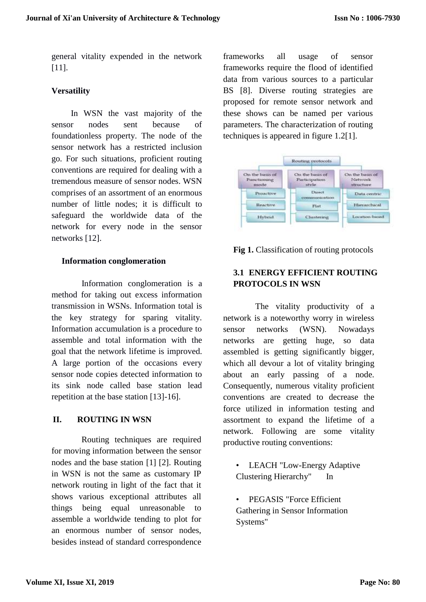general vitality expended in the network [11].

#### **Versatility**

 In WSN the vast majority of the sensor nodes sent because of foundationless property. The node of the sensor network has a restricted inclusion go. For such situations, proficient routing conventions are required for dealing with a tremendous measure of sensor nodes. WSN comprises of an assortment of an enormous number of little nodes; it is difficult to safeguard the worldwide data of the network for every node in the sensor networks [12].

#### **Information conglomeration**

 Information conglomeration is a method for taking out excess information transmission in WSNs. Information total is the key strategy for sparing vitality. Information accumulation is a procedure to assemble and total information with the goal that the network lifetime is improved. A large portion of the occasions every sensor node copies detected information to its sink node called base station lead repetition at the base station [13]-16].

# **II. ROUTING IN WSN**

 Routing techniques are required for moving information between the sensor nodes and the base station [1] [2]. Routing in WSN is not the same as customary IP network routing in light of the fact that it shows various exceptional attributes all things being equal unreasonable to assemble a worldwide tending to plot for an enormous number of sensor nodes, besides instead of standard correspondence

frameworks all usage of sensor frameworks require the flood of identified data from various sources to a particular BS [8]. Diverse routing strategies are proposed for remote sensor network and these shows can be named per various parameters. The characterization of routing techniques is appeared in figure 1.2[1].



**Fig 1.** Classification of routing protocols

# **3.1 ENERGY EFFICIENT ROUTING PROTOCOLS IN WSN**

 The vitality productivity of a network is a noteworthy worry in wireless sensor networks (WSN). Nowadays networks are getting huge, so data assembled is getting significantly bigger, which all devour a lot of vitality bringing about an early passing of a node. Consequently, numerous vitality proficient conventions are created to decrease the force utilized in information testing and assortment to expand the lifetime of a network. Following are some vitality productive routing conventions:

LEACH "Low-Energy Adaptive Clustering Hierarchy" In

• PEGASIS "Force Efficient Gathering in Sensor Information Systems"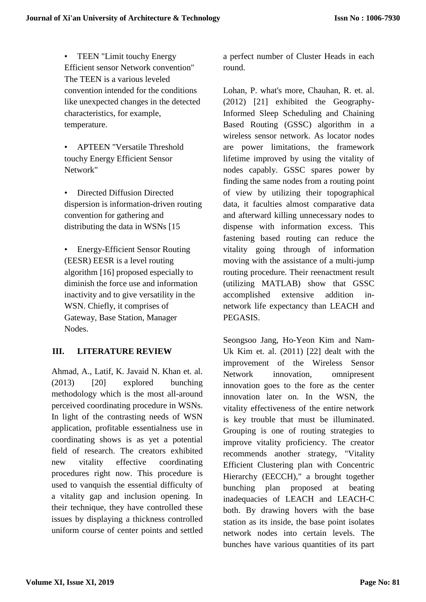• TEEN "Limit touchy Energy Efficient sensor Network convention" The TEEN is a various leveled convention intended for the conditions like unexpected changes in the detected characteristics, for example, temperature.

• APTEEN "Versatile Threshold touchy Energy Efficient Sensor Network"

• Directed Diffusion Directed dispersion is information-driven routing convention for gathering and distributing the data in WSNs [15

• Energy-Efficient Sensor Routing (EESR) EESR is a level routing algorithm [16] proposed especially to diminish the force use and information inactivity and to give versatility in the WSN. Chiefly, it comprises of Gateway, Base Station, Manager Nodes.

# **III. LITERATURE REVIEW**

Ahmad, A., Latif, K. Javaid N. Khan et. al. (2013) [20] explored bunching methodology which is the most all-around perceived coordinating procedure in WSNs. In light of the contrasting needs of WSN application, profitable essentialness use in coordinating shows is as yet a potential field of research. The creators exhibited new vitality effective coordinating procedures right now. This procedure is used to vanquish the essential difficulty of a vitality gap and inclusion opening. In their technique, they have controlled these issues by displaying a thickness controlled uniform course of center points and settled a perfect number of Cluster Heads in each round.

Lohan, P. what's more, Chauhan, R. et. al. (2012) [21] exhibited the Geography-Informed Sleep Scheduling and Chaining Based Routing (GSSC) algorithm in a wireless sensor network. As locator nodes are power limitations, the framework lifetime improved by using the vitality of nodes capably. GSSC spares power by finding the same nodes from a routing point of view by utilizing their topographical data, it faculties almost comparative data and afterward killing unnecessary nodes to dispense with information excess. This fastening based routing can reduce the vitality going through of information moving with the assistance of a multi-jump routing procedure. Their reenactment result (utilizing MATLAB) show that GSSC accomplished extensive addition innetwork life expectancy than LEACH and PEGASIS.

Seongsoo Jang, Ho-Yeon Kim and Nam-Uk Kim et. al. (2011) [22] dealt with the improvement of the Wireless Sensor Network innovation, omnipresent innovation goes to the fore as the center innovation later on. In the WSN, the vitality effectiveness of the entire network is key trouble that must be illuminated. Grouping is one of routing strategies to improve vitality proficiency. The creator recommends another strategy, "Vitality Efficient Clustering plan with Concentric Hierarchy (EECCH)," a brought together bunching plan proposed at beating inadequacies of LEACH and LEACH-C both. By drawing hovers with the base station as its inside, the base point isolates network nodes into certain levels. The bunches have various quantities of its part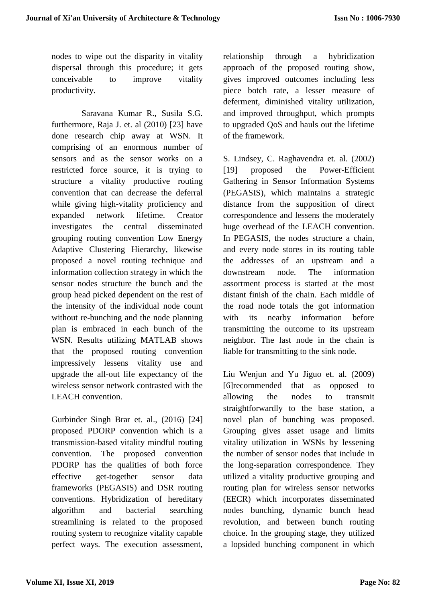nodes to wipe out the disparity in vitality dispersal through this procedure; it gets conceivable to improve vitality productivity.

 Saravana Kumar R., Susila S.G. furthermore, Raja J. et. al (2010) [23] have done research chip away at WSN. It comprising of an enormous number of sensors and as the sensor works on a restricted force source, it is trying to structure a vitality productive routing convention that can decrease the deferral while giving high-vitality proficiency and expanded network lifetime. Creator investigates the central disseminated grouping routing convention Low Energy Adaptive Clustering Hierarchy, likewise proposed a novel routing technique and information collection strategy in which the sensor nodes structure the bunch and the group head picked dependent on the rest of the intensity of the individual node count without re-bunching and the node planning plan is embraced in each bunch of the WSN. Results utilizing MATLAB shows that the proposed routing convention impressively lessens vitality use and upgrade the all-out life expectancy of the wireless sensor network contrasted with the LEACH convention.

Gurbinder Singh Brar et. al., (2016) [24] proposed PDORP convention which is a transmission-based vitality mindful routing convention. The proposed convention PDORP has the qualities of both force effective get-together sensor data frameworks (PEGASIS) and DSR routing conventions. Hybridization of hereditary algorithm and bacterial searching streamlining is related to the proposed routing system to recognize vitality capable perfect ways. The execution assessment, relationship through a hybridization approach of the proposed routing show, gives improved outcomes including less piece botch rate, a lesser measure of deferment, diminished vitality utilization, and improved throughput, which prompts to upgraded QoS and hauls out the lifetime of the framework.

S. Lindsey, C. Raghavendra et. al. (2002) [19] proposed the Power-Efficient Gathering in Sensor Information Systems (PEGASIS), which maintains a strategic distance from the supposition of direct correspondence and lessens the moderately huge overhead of the LEACH convention. In PEGASIS, the nodes structure a chain, and every node stores in its routing table the addresses of an upstream and a downstream node. The information assortment process is started at the most distant finish of the chain. Each middle of the road node totals the got information with its nearby information before transmitting the outcome to its upstream neighbor. The last node in the chain is liable for transmitting to the sink node.

Liu Wenjun and Yu Jiguo et. al. (2009) [6]recommended that as opposed to allowing the nodes to transmit straightforwardly to the base station, a novel plan of bunching was proposed. Grouping gives asset usage and limits vitality utilization in WSNs by lessening the number of sensor nodes that include in the long-separation correspondence. They utilized a vitality productive grouping and routing plan for wireless sensor networks (EECR) which incorporates disseminated nodes bunching, dynamic bunch head revolution, and between bunch routing choice. In the grouping stage, they utilized a lopsided bunching component in which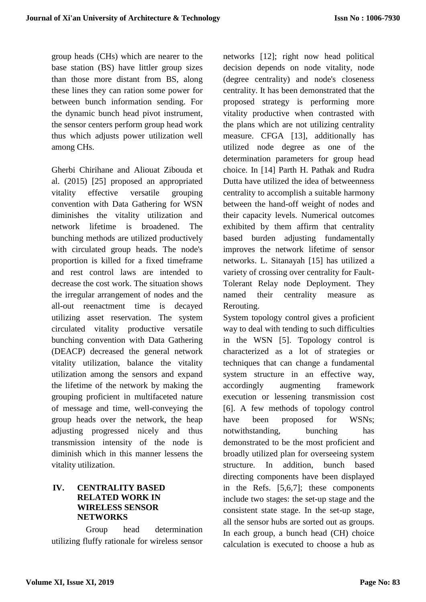group heads (CHs) which are nearer to the base station (BS) have littler group sizes than those more distant from BS, along these lines they can ration some power for between bunch information sending. For the dynamic bunch head pivot instrument, the sensor centers perform group head work thus which adjusts power utilization well among CHs.

Gherbi Chirihane and Aliouat Zibouda et al. (2015) [25] proposed an appropriated vitality effective versatile grouping convention with Data Gathering for WSN diminishes the vitality utilization and network lifetime is broadened. The bunching methods are utilized productively with circulated group heads. The node's proportion is killed for a fixed timeframe and rest control laws are intended to decrease the cost work. The situation shows the irregular arrangement of nodes and the all-out reenactment time is decayed utilizing asset reservation. The system circulated vitality productive versatile bunching convention with Data Gathering (DEACP) decreased the general network vitality utilization, balance the vitality utilization among the sensors and expand the lifetime of the network by making the grouping proficient in multifaceted nature of message and time, well-conveying the group heads over the network, the heap adjusting progressed nicely and thus transmission intensity of the node is diminish which in this manner lessens the vitality utilization.

# **IV. CENTRALITY BASED RELATED WORK IN WIRELESS SENSOR NETWORKS**

 Group head determination utilizing fluffy rationale for wireless sensor networks [12]; right now head political decision depends on node vitality, node (degree centrality) and node's closeness centrality. It has been demonstrated that the proposed strategy is performing more vitality productive when contrasted with the plans which are not utilizing centrality measure. CFGA [13], additionally has utilized node degree as one of the determination parameters for group head choice. In [14] Parth H. Pathak and Rudra Dutta have utilized the idea of betweenness centrality to accomplish a suitable harmony between the hand-off weight of nodes and their capacity levels. Numerical outcomes exhibited by them affirm that centrality based burden adjusting fundamentally improves the network lifetime of sensor networks. L. Sitanayah [15] has utilized a variety of crossing over centrality for Fault-Tolerant Relay node Deployment. They named their centrality measure as Rerouting.

System topology control gives a proficient way to deal with tending to such difficulties in the WSN [5]. Topology control is characterized as a lot of strategies or techniques that can change a fundamental system structure in an effective way, accordingly augmenting framework execution or lessening transmission cost [6]. A few methods of topology control have been proposed for WSNs; notwithstanding, bunching has demonstrated to be the most proficient and broadly utilized plan for overseeing system structure. In addition, bunch based directing components have been displayed in the Refs. [5,6,7]; these components include two stages: the set-up stage and the consistent state stage. In the set-up stage, all the sensor hubs are sorted out as groups. In each group, a bunch head (CH) choice calculation is executed to choose a hub as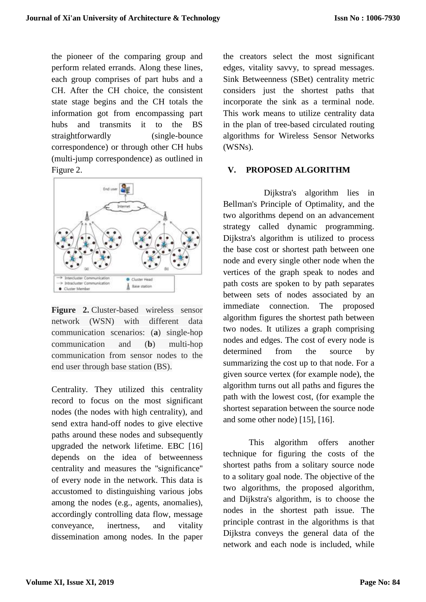the pioneer of the comparing group and perform related errands. Along these lines, each group comprises of part hubs and a CH. After the CH choice, the consistent state stage begins and the CH totals the information got from encompassing part hubs and transmits it to the BS straightforwardly (single-bounce correspondence) or through other CH hubs (multi-jump correspondence) as outlined in Figure 2.



**Figure 2.** Cluster-based wireless sensor network (WSN) with different data communication scenarios: (**a**) single-hop communication and (**b**) multi-hop communication from sensor nodes to the end user through base station (BS).

Centrality. They utilized this centrality record to focus on the most significant nodes (the nodes with high centrality), and send extra hand-off nodes to give elective paths around these nodes and subsequently upgraded the network lifetime. EBC [16] depends on the idea of betweenness centrality and measures the ''significance'' of every node in the network. This data is accustomed to distinguishing various jobs among the nodes (e.g., agents, anomalies), accordingly controlling data flow, message conveyance, inertness, and vitality dissemination among nodes. In the paper the creators select the most significant edges, vitality savvy, to spread messages. Sink Betweenness (SBet) centrality metric considers just the shortest paths that incorporate the sink as a terminal node. This work means to utilize centrality data in the plan of tree-based circulated routing algorithms for Wireless Sensor Networks (WSNs).

# **V. PROPOSED ALGORITHM**

 Dijkstra's algorithm lies in Bellman's Principle of Optimality, and the two algorithms depend on an advancement strategy called dynamic programming. Dijkstra's algorithm is utilized to process the base cost or shortest path between one node and every single other node when the vertices of the graph speak to nodes and path costs are spoken to by path separates between sets of nodes associated by an immediate connection. The proposed algorithm figures the shortest path between two nodes. It utilizes a graph comprising nodes and edges. The cost of every node is determined from the source by summarizing the cost up to that node. For a given source vertex (for example node), the algorithm turns out all paths and figures the path with the lowest cost, (for example the shortest separation between the source node and some other node) [15], [16].

 This algorithm offers another technique for figuring the costs of the shortest paths from a solitary source node to a solitary goal node. The objective of the two algorithms, the proposed algorithm, and Dijkstra's algorithm, is to choose the nodes in the shortest path issue. The principle contrast in the algorithms is that Dijkstra conveys the general data of the network and each node is included, while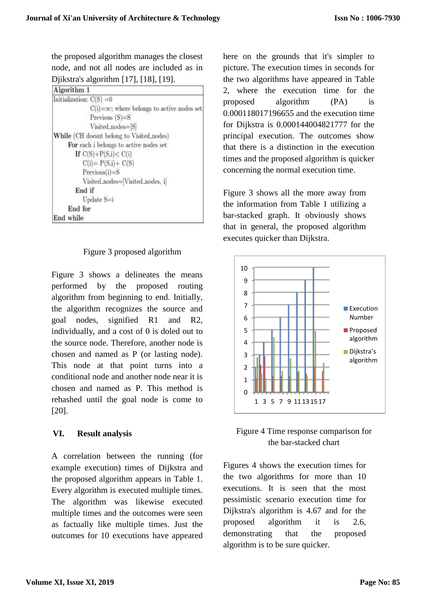the proposed algorithm manages the closest node, and not all nodes are included as in Djikstra's algorithm [17], [18], [19].

| Algorithm 1                |                                                   |
|----------------------------|---------------------------------------------------|
| Initialization: $C(S) = 0$ |                                                   |
|                            | $C(i)=\infty$ ; where belongs to active nodes set |
|                            | Previous $(S)=S$                                  |
|                            | Visited_nodes=[S]                                 |
|                            | While (CH doesnt belong to Visited nodes)         |
|                            | For each i belongs to active nodes set            |
| If $C(S) + P(S,i) < C(i)$  |                                                   |
|                            | $C(i) = P(S,i) + C(S)$                            |
| $Previous(i)=S$            |                                                   |
|                            | Visited_nodes=[Visited_nodes, i]                  |
| End if                     |                                                   |
| $Update$ S=i               |                                                   |
| End for                    |                                                   |
| End while                  |                                                   |

Figure 3 proposed algorithm

Figure 3 shows a delineates the means performed by the proposed routing algorithm from beginning to end. Initially, the algorithm recognizes the source and goal nodes, signified R1 and R2, individually, and a cost of 0 is doled out to the source node. Therefore, another node is chosen and named as P (or lasting node). This node at that point turns into a conditional node and another node near it is chosen and named as P. This method is rehashed until the goal node is come to [20].

# **VI. Result analysis**

A correlation between the running (for example execution) times of Dijkstra and the proposed algorithm appears in Table 1. Every algorithm is executed multiple times. The algorithm was likewise executed multiple times and the outcomes were seen as factually like multiple times. Just the outcomes for 10 executions have appeared here on the grounds that it's simpler to picture. The execution times in seconds for the two algorithms have appeared in Table 2, where the execution time for the proposed algorithm (PA) is 0.000118017196655 and the execution time for Dijkstra is 0.000144004821777 for the principal execution. The outcomes show that there is a distinction in the execution times and the proposed algorithm is quicker concerning the normal execution time.

Figure 3 shows all the more away from the information from Table 1 utilizing a bar-stacked graph. It obviously shows that in general, the proposed algorithm executes quicker than Dijkstra.





Figures 4 shows the execution times for the two algorithms for more than 10 executions. It is seen that the most pessimistic scenario execution time for Dijkstra's algorithm is 4.67 and for the proposed algorithm it is 2.6, demonstrating that the proposed algorithm is to be sure quicker.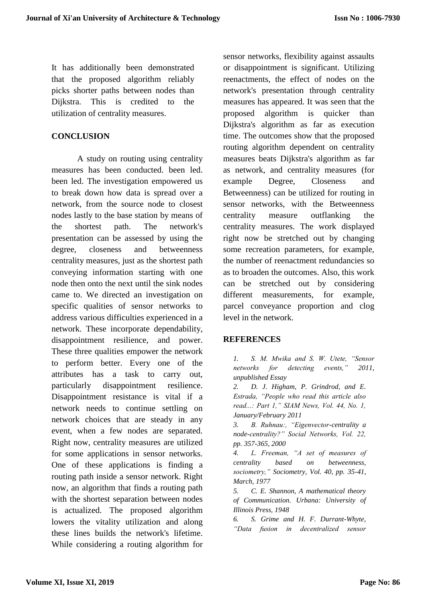It has additionally been demonstrated that the proposed algorithm reliably picks shorter paths between nodes than Dijkstra. This is credited to the utilization of centrality measures.

#### **CONCLUSION**

A study on routing using centrality measures has been conducted. been led. been led. The investigation empowered us to break down how data is spread over a network, from the source node to closest nodes lastly to the base station by means of the shortest path. The network's presentation can be assessed by using the degree, closeness and betweenness centrality measures, just as the shortest path conveying information starting with one node then onto the next until the sink nodes came to. We directed an investigation on specific qualities of sensor networks to address various difficulties experienced in a network. These incorporate dependability, disappointment resilience, and power. These three qualities empower the network to perform better. Every one of the attributes has a task to carry out, particularly disappointment resilience. Disappointment resistance is vital if a network needs to continue settling on network choices that are steady in any event, when a few nodes are separated. Right now, centrality measures are utilized for some applications in sensor networks. One of these applications is finding a routing path inside a sensor network. Right now, an algorithm that finds a routing path with the shortest separation between nodes is actualized. The proposed algorithm lowers the vitality utilization and along these lines builds the network's lifetime. While considering a routing algorithm for sensor networks, flexibility against assaults or disappointment is significant. Utilizing reenactments, the effect of nodes on the network's presentation through centrality measures has appeared. It was seen that the proposed algorithm is quicker than Dijkstra's algorithm as far as execution time. The outcomes show that the proposed routing algorithm dependent on centrality measures beats Dijkstra's algorithm as far as network, and centrality measures (for example Degree, Closeness and Betweenness) can be utilized for routing in sensor networks, with the Betweenness centrality measure outflanking the centrality measures. The work displayed right now be stretched out by changing some recreation parameters, for example, the number of reenactment redundancies so as to broaden the outcomes. Also, this work can be stretched out by considering different measurements, for example, parcel conveyance proportion and clog level in the network.

#### **REFERENCES**

*1. S. M. Mwika and S. W. Utete, "Sensor networks for detecting events," 2011, unpublished Essay*

*2. D. J. Higham, P. Grindrod, and E. Estrada, "People who read this article also read...: Part 1," SIAM News, Vol. 44, No. 1, January/February 2011*

*3. B. Ruhnau:, "Eigenvector-centrality a node-centrality?" Social Networks, Vol. 22, pp. 357-365, 2000*

*4. L. Freeman, "A set of measures of centrality based on betweenness, sociometry," Sociometry, Vol. 40, pp. 35-41, March, 1977*

*5. C. E. Shannon, A mathematical theory of Communication. Urbana: University of Illinois Press, 1948*

*6. S. Grime and H. F. Durrant-Whyte, "Data fusion in decentralized sensor*